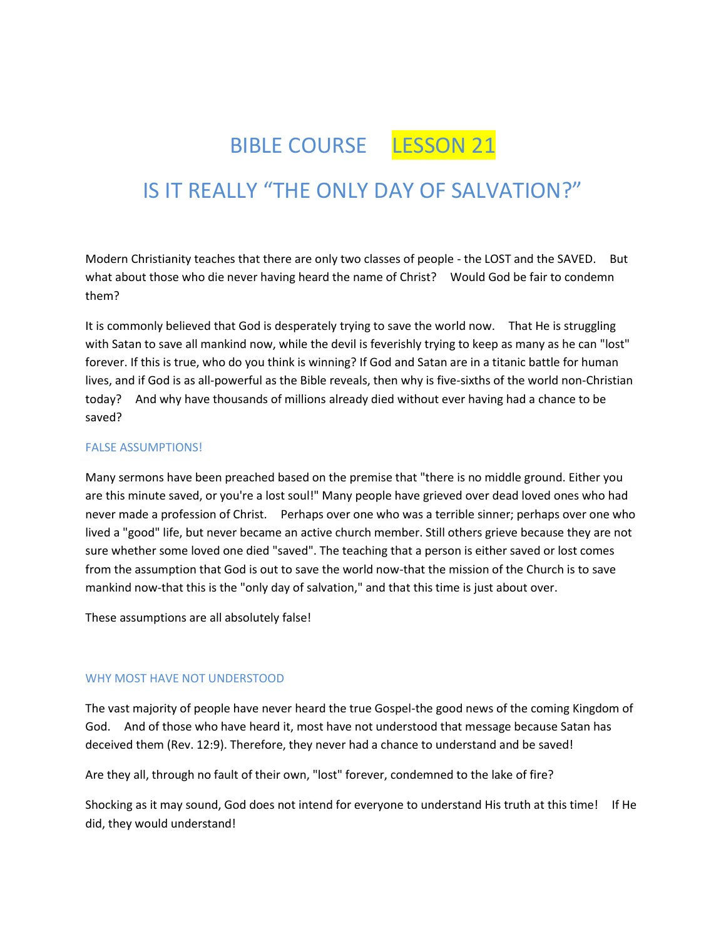# BIBLE COURSE LESSON 21

# IS IT REALLY "THE ONLY DAY OF SALVATION?"

Modern Christianity teaches that there are only two classes of people - the LOST and the SAVED. But what about those who die never having heard the name of Christ? Would God be fair to condemn them?

It is commonly believed that God is desperately trying to save the world now. That He is struggling with Satan to save all mankind now, while the devil is feverishly trying to keep as many as he can "lost" forever. If this is true, who do you think is winning? If God and Satan are in a titanic battle for human lives, and if God is as all-powerful as the Bible reveals, then why is five-sixths of the world non-Christian today? And why have thousands of millions already died without ever having had a chance to be saved?

#### FALSE ASSUMPTIONS!

Many sermons have been preached based on the premise that "there is no middle ground. Either you are this minute saved, or you're a lost soul!" Many people have grieved over dead loved ones who had never made a profession of Christ. Perhaps over one who was a terrible sinner; perhaps over one who lived a "good" life, but never became an active church member. Still others grieve because they are not sure whether some loved one died "saved". The teaching that a person is either saved or lost comes from the assumption that God is out to save the world now-that the mission of the Church is to save mankind now-that this is the "only day of salvation," and that this time is just about over.

These assumptions are all absolutely false!

#### WHY MOST HAVE NOT UNDERSTOOD

The vast majority of people have never heard the true Gospel-the good news of the coming Kingdom of God. And of those who have heard it, most have not understood that message because Satan has deceived them (Rev. 12:9). Therefore, they never had a chance to understand and be saved!

Are they all, through no fault of their own, "lost" forever, condemned to the lake of fire?

Shocking as it may sound, God does not intend for everyone to understand His truth at this time! If He did, they would understand!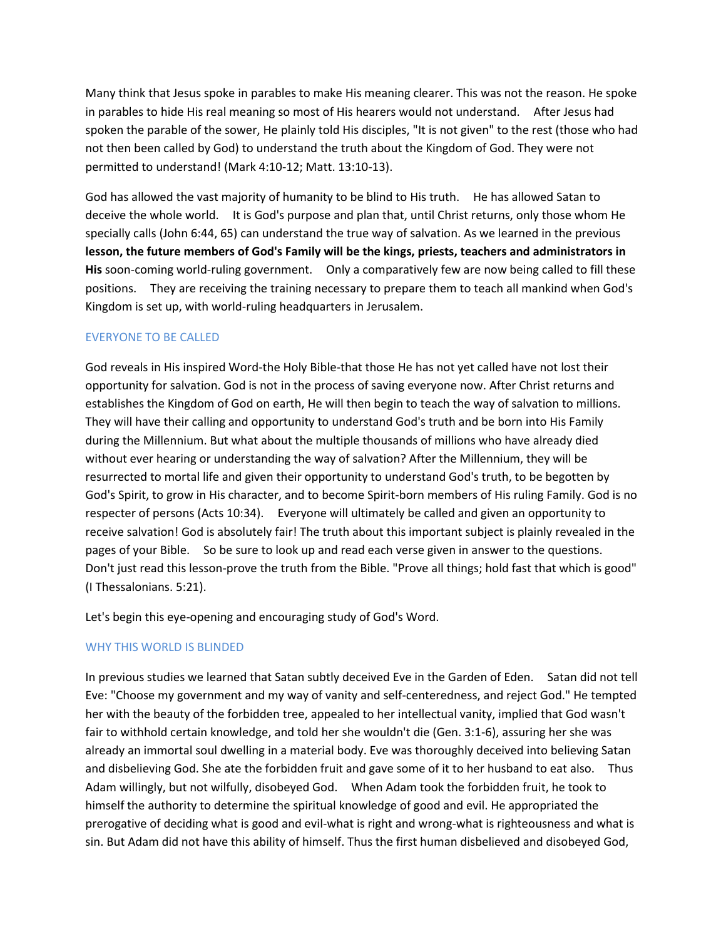Many think that Jesus spoke in parables to make His meaning clearer. This was not the reason. He spoke in parables to hide His real meaning so most of His hearers would not understand. After Jesus had spoken the parable of the sower, He plainly told His disciples, "It is not given" to the rest (those who had not then been called by God) to understand the truth about the Kingdom of God. They were not permitted to understand! (Mark 4:10-12; Matt. 13:10-13).

God has allowed the vast majority of humanity to be blind to His truth. He has allowed Satan to deceive the whole world. It is God's purpose and plan that, until Christ returns, only those whom He specially calls (John 6:44, 65) can understand the true way of salvation. As we learned in the previous **lesson, the future members of God's Family will be the kings, priests, teachers and administrators in His** soon-coming world-ruling government. Only a comparatively few are now being called to fill these positions. They are receiving the training necessary to prepare them to teach all mankind when God's Kingdom is set up, with world-ruling headquarters in Jerusalem.

#### EVERYONE TO BE CALLED

God reveals in His inspired Word-the Holy Bible-that those He has not yet called have not lost their opportunity for salvation. God is not in the process of saving everyone now. After Christ returns and establishes the Kingdom of God on earth, He will then begin to teach the way of salvation to millions. They will have their calling and opportunity to understand God's truth and be born into His Family during the Millennium. But what about the multiple thousands of millions who have already died without ever hearing or understanding the way of salvation? After the Millennium, they will be resurrected to mortal life and given their opportunity to understand God's truth, to be begotten by God's Spirit, to grow in His character, and to become Spirit-born members of His ruling Family. God is no respecter of persons (Acts 10:34). Everyone will ultimately be called and given an opportunity to receive salvation! God is absolutely fair! The truth about this important subject is plainly revealed in the pages of your Bible. So be sure to look up and read each verse given in answer to the questions. Don't just read this lesson-prove the truth from the Bible. "Prove all things; hold fast that which is good" (I Thessalonians. 5:21).

Let's begin this eye-opening and encouraging study of God's Word.

#### WHY THIS WORLD IS BLINDED

In previous studies we learned that Satan subtly deceived Eve in the Garden of Eden. Satan did not tell Eve: "Choose my government and my way of vanity and self-centeredness, and reject God." He tempted her with the beauty of the forbidden tree, appealed to her intellectual vanity, implied that God wasn't fair to withhold certain knowledge, and told her she wouldn't die (Gen. 3:1-6), assuring her she was already an immortal soul dwelling in a material body. Eve was thoroughly deceived into believing Satan and disbelieving God. She ate the forbidden fruit and gave some of it to her husband to eat also. Thus Adam willingly, but not wilfully, disobeyed God. When Adam took the forbidden fruit, he took to himself the authority to determine the spiritual knowledge of good and evil. He appropriated the prerogative of deciding what is good and evil-what is right and wrong-what is righteousness and what is sin. But Adam did not have this ability of himself. Thus the first human disbelieved and disobeyed God,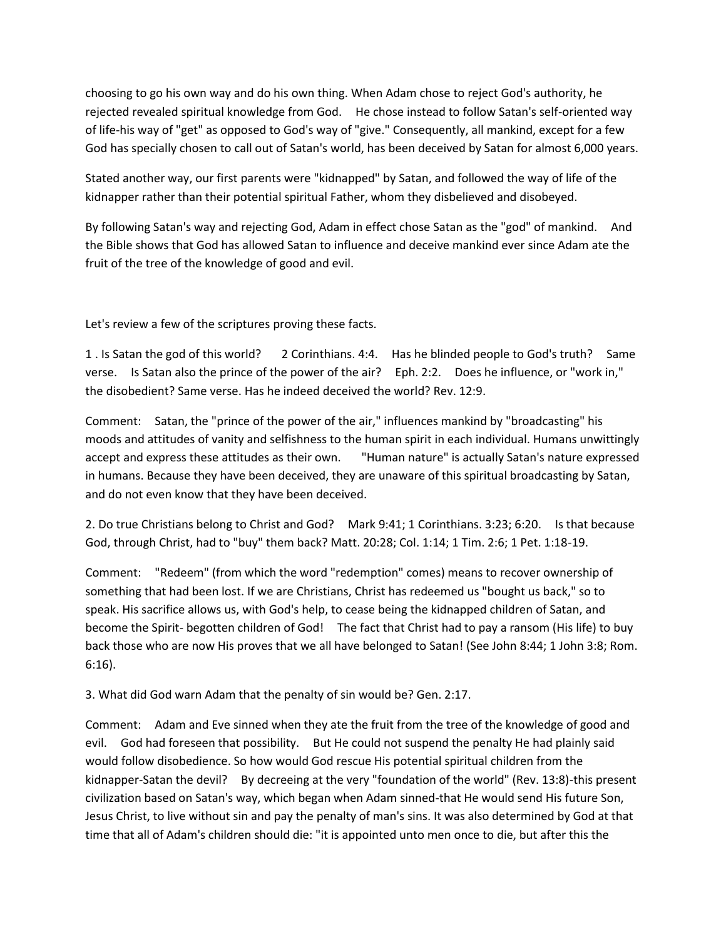choosing to go his own way and do his own thing. When Adam chose to reject God's authority, he rejected revealed spiritual knowledge from God. He chose instead to follow Satan's self-oriented way of life-his way of "get" as opposed to God's way of "give." Consequently, all mankind, except for a few God has specially chosen to call out of Satan's world, has been deceived by Satan for almost 6,000 years.

Stated another way, our first parents were "kidnapped" by Satan, and followed the way of life of the kidnapper rather than their potential spiritual Father, whom they disbelieved and disobeyed.

By following Satan's way and rejecting God, Adam in effect chose Satan as the "god" of mankind. And the Bible shows that God has allowed Satan to influence and deceive mankind ever since Adam ate the fruit of the tree of the knowledge of good and evil.

Let's review a few of the scriptures proving these facts.

1 . Is Satan the god of this world? 2 Corinthians. 4:4. Has he blinded people to God's truth? Same verse. Is Satan also the prince of the power of the air? Eph. 2:2. Does he influence, or "work in," the disobedient? Same verse. Has he indeed deceived the world? Rev. 12:9.

Comment: Satan, the "prince of the power of the air," influences mankind by "broadcasting" his moods and attitudes of vanity and selfishness to the human spirit in each individual. Humans unwittingly accept and express these attitudes as their own. "Human nature" is actually Satan's nature expressed in humans. Because they have been deceived, they are unaware of this spiritual broadcasting by Satan, and do not even know that they have been deceived.

2. Do true Christians belong to Christ and God? Mark 9:41; 1 Corinthians. 3:23; 6:20. Is that because God, through Christ, had to "buy" them back? Matt. 20:28; Col. 1:14; 1 Tim. 2:6; 1 Pet. 1:18-19.

Comment: "Redeem" (from which the word "redemption" comes) means to recover ownership of something that had been lost. If we are Christians, Christ has redeemed us "bought us back," so to speak. His sacrifice allows us, with God's help, to cease being the kidnapped children of Satan, and become the Spirit- begotten children of God! The fact that Christ had to pay a ransom (His life) to buy back those who are now His proves that we all have belonged to Satan! (See John 8:44; 1 John 3:8; Rom. 6:16).

3. What did God warn Adam that the penalty of sin would be? Gen. 2:17.

Comment: Adam and Eve sinned when they ate the fruit from the tree of the knowledge of good and evil. God had foreseen that possibility. But He could not suspend the penalty He had plainly said would follow disobedience. So how would God rescue His potential spiritual children from the kidnapper-Satan the devil? By decreeing at the very "foundation of the world" (Rev. 13:8)-this present civilization based on Satan's way, which began when Adam sinned-that He would send His future Son, Jesus Christ, to live without sin and pay the penalty of man's sins. It was also determined by God at that time that all of Adam's children should die: "it is appointed unto men once to die, but after this the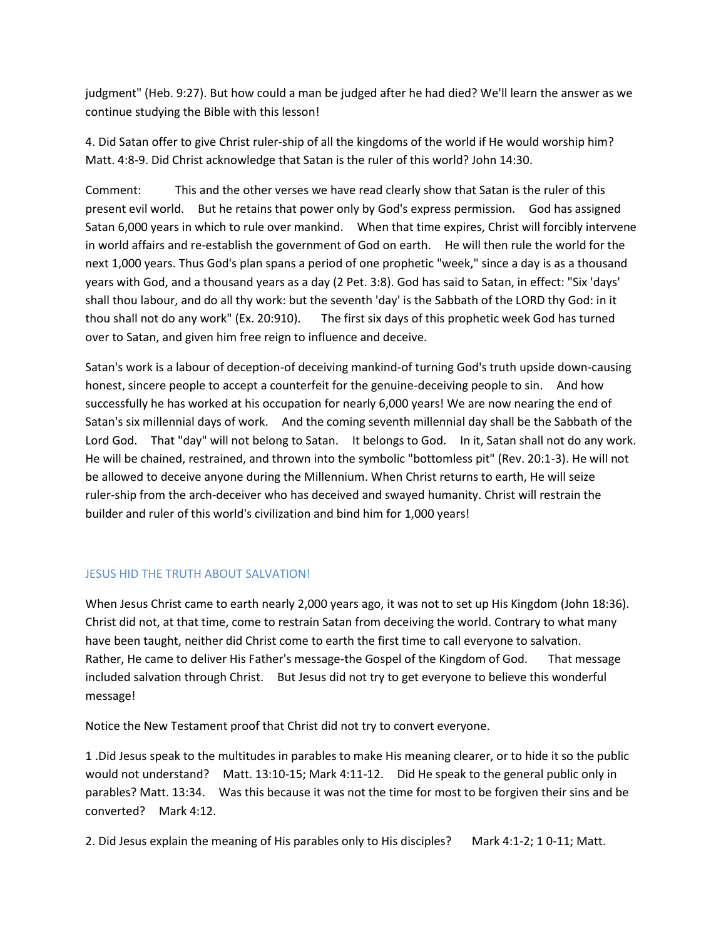judgment" (Heb. 9:27). But how could a man be judged after he had died? We'll learn the answer as we continue studying the Bible with this lesson!

4. Did Satan offer to give Christ ruler-ship of all the kingdoms of the world if He would worship him? Matt. 4:8-9. Did Christ acknowledge that Satan is the ruler of this world? John 14:30.

Comment: This and the other verses we have read clearly show that Satan is the ruler of this present evil world. But he retains that power only by God's express permission. God has assigned Satan 6,000 years in which to rule over mankind. When that time expires, Christ will forcibly intervene in world affairs and re-establish the government of God on earth. He will then rule the world for the next 1,000 years. Thus God's plan spans a period of one prophetic "week," since a day is as a thousand years with God, and a thousand years as a day (2 Pet. 3:8). God has said to Satan, in effect: "Six 'days' shall thou labour, and do all thy work: but the seventh 'day' is the Sabbath of the LORD thy God: in it thou shall not do any work" (Ex. 20:910). The first six days of this prophetic week God has turned over to Satan, and given him free reign to influence and deceive.

Satan's work is a labour of deception-of deceiving mankind-of turning God's truth upside down-causing honest, sincere people to accept a counterfeit for the genuine-deceiving people to sin. And how successfully he has worked at his occupation for nearly 6,000 years! We are now nearing the end of Satan's six millennial days of work. And the coming seventh millennial day shall be the Sabbath of the Lord God. That "day" will not belong to Satan. It belongs to God. In it, Satan shall not do any work. He will be chained, restrained, and thrown into the symbolic "bottomless pit" (Rev. 20:1-3). He will not be allowed to deceive anyone during the Millennium. When Christ returns to earth, He will seize ruler-ship from the arch-deceiver who has deceived and swayed humanity. Christ will restrain the builder and ruler of this world's civilization and bind him for 1,000 years!

## JESUS HID THE TRUTH ABOUT SALVATION!

When Jesus Christ came to earth nearly 2,000 years ago, it was not to set up His Kingdom (John 18:36). Christ did not, at that time, come to restrain Satan from deceiving the world. Contrary to what many have been taught, neither did Christ come to earth the first time to call everyone to salvation. Rather, He came to deliver His Father's message-the Gospel of the Kingdom of God. That message included salvation through Christ. But Jesus did not try to get everyone to believe this wonderful message!

Notice the New Testament proof that Christ did not try to convert everyone.

1 .Did Jesus speak to the multitudes in parables to make His meaning clearer, or to hide it so the public would not understand? Matt. 13:10-15; Mark 4:11-12. Did He speak to the general public only in parables? Matt. 13:34. Was this because it was not the time for most to be forgiven their sins and be converted? Mark 4:12.

2. Did Jesus explain the meaning of His parables only to His disciples? Mark 4:1-2; 1 0-11; Matt.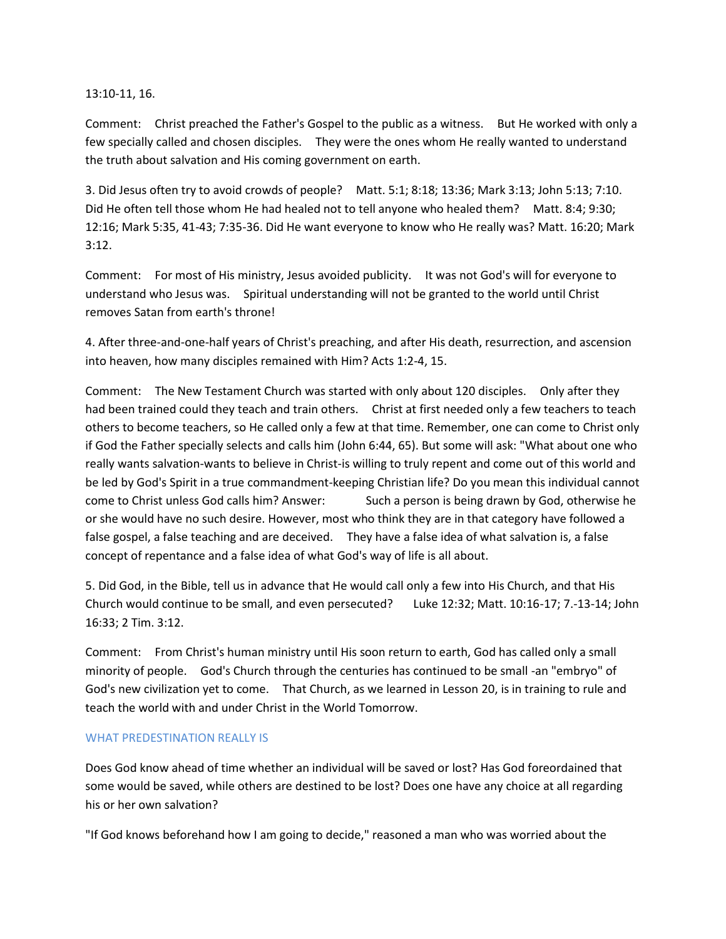#### 13:10-11, 16.

Comment: Christ preached the Father's Gospel to the public as a witness. But He worked with only a few specially called and chosen disciples. They were the ones whom He really wanted to understand the truth about salvation and His coming government on earth.

3. Did Jesus often try to avoid crowds of people? Matt. 5:1; 8:18; 13:36; Mark 3:13; John 5:13; 7:10. Did He often tell those whom He had healed not to tell anyone who healed them? Matt. 8:4; 9:30; 12:16; Mark 5:35, 41-43; 7:35-36. Did He want everyone to know who He really was? Matt. 16:20; Mark 3:12.

Comment: For most of His ministry, Jesus avoided publicity. It was not God's will for everyone to understand who Jesus was. Spiritual understanding will not be granted to the world until Christ removes Satan from earth's throne!

4. After three-and-one-half years of Christ's preaching, and after His death, resurrection, and ascension into heaven, how many disciples remained with Him? Acts 1:2-4, 15.

Comment: The New Testament Church was started with only about 120 disciples. Only after they had been trained could they teach and train others. Christ at first needed only a few teachers to teach others to become teachers, so He called only a few at that time. Remember, one can come to Christ only if God the Father specially selects and calls him (John 6:44, 65). But some will ask: "What about one who really wants salvation-wants to believe in Christ-is willing to truly repent and come out of this world and be led by God's Spirit in a true commandment-keeping Christian life? Do you mean this individual cannot come to Christ unless God calls him? Answer: Such a person is being drawn by God, otherwise he or she would have no such desire. However, most who think they are in that category have followed a false gospel, a false teaching and are deceived. They have a false idea of what salvation is, a false concept of repentance and a false idea of what God's way of life is all about.

5. Did God, in the Bible, tell us in advance that He would call only a few into His Church, and that His Church would continue to be small, and even persecuted? Luke 12:32; Matt. 10:16-17; 7.-13-14; John 16:33; 2 Tim. 3:12.

Comment: From Christ's human ministry until His soon return to earth, God has called only a small minority of people. God's Church through the centuries has continued to be small -an "embryo" of God's new civilization yet to come. That Church, as we learned in Lesson 20, is in training to rule and teach the world with and under Christ in the World Tomorrow.

#### WHAT PREDESTINATION REALLY IS

Does God know ahead of time whether an individual will be saved or lost? Has God foreordained that some would be saved, while others are destined to be lost? Does one have any choice at all regarding his or her own salvation?

"If God knows beforehand how I am going to decide," reasoned a man who was worried about the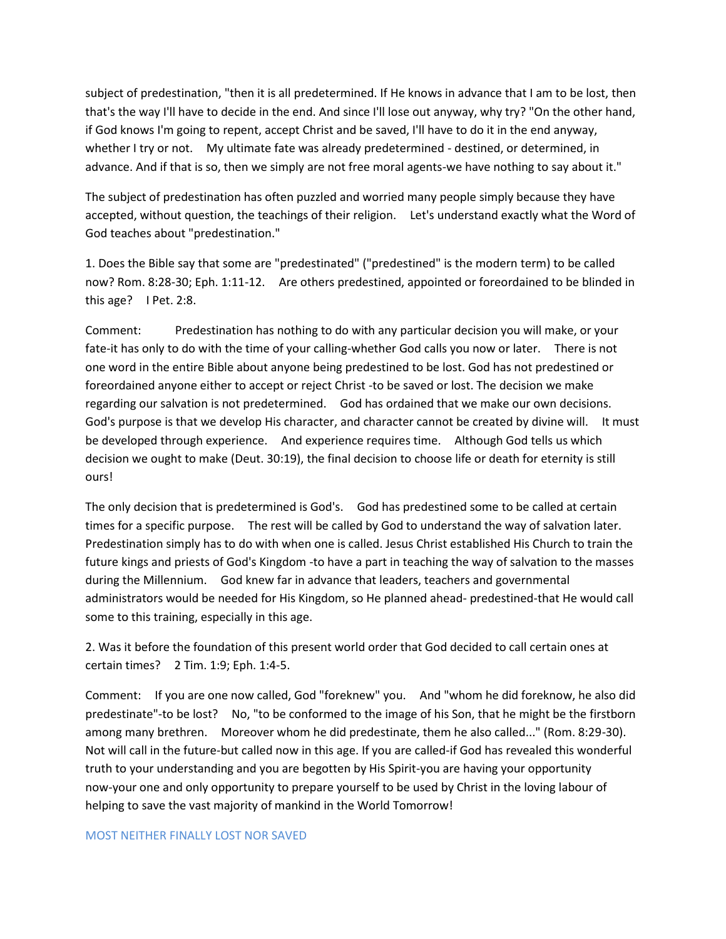subject of predestination, "then it is all predetermined. If He knows in advance that I am to be lost, then that's the way I'll have to decide in the end. And since I'll lose out anyway, why try? "On the other hand, if God knows I'm going to repent, accept Christ and be saved, I'll have to do it in the end anyway, whether I try or not. My ultimate fate was already predetermined - destined, or determined, in advance. And if that is so, then we simply are not free moral agents-we have nothing to say about it."

The subject of predestination has often puzzled and worried many people simply because they have accepted, without question, the teachings of their religion. Let's understand exactly what the Word of God teaches about "predestination."

1. Does the Bible say that some are "predestinated" ("predestined" is the modern term) to be called now? Rom. 8:28-30; Eph. 1:11-12. Are others predestined, appointed or foreordained to be blinded in this age? I Pet. 2:8.

Comment: Predestination has nothing to do with any particular decision you will make, or your fate-it has only to do with the time of your calling-whether God calls you now or later. There is not one word in the entire Bible about anyone being predestined to be lost. God has not predestined or foreordained anyone either to accept or reject Christ -to be saved or lost. The decision we make regarding our salvation is not predetermined. God has ordained that we make our own decisions. God's purpose is that we develop His character, and character cannot be created by divine will. It must be developed through experience. And experience requires time. Although God tells us which decision we ought to make (Deut. 30:19), the final decision to choose life or death for eternity is still ours!

The only decision that is predetermined is God's. God has predestined some to be called at certain times for a specific purpose. The rest will be called by God to understand the way of salvation later. Predestination simply has to do with when one is called. Jesus Christ established His Church to train the future kings and priests of God's Kingdom -to have a part in teaching the way of salvation to the masses during the Millennium. God knew far in advance that leaders, teachers and governmental administrators would be needed for His Kingdom, so He planned ahead- predestined-that He would call some to this training, especially in this age.

2. Was it before the foundation of this present world order that God decided to call certain ones at certain times? 2 Tim. 1:9; Eph. 1:4-5.

Comment: If you are one now called, God "foreknew" you. And "whom he did foreknow, he also did predestinate"-to be lost? No, "to be conformed to the image of his Son, that he might be the firstborn among many brethren. Moreover whom he did predestinate, them he also called..." (Rom. 8:29-30). Not will call in the future-but called now in this age. If you are called-if God has revealed this wonderful truth to your understanding and you are begotten by His Spirit-you are having your opportunity now-your one and only opportunity to prepare yourself to be used by Christ in the loving labour of helping to save the vast majority of mankind in the World Tomorrow!

#### MOST NEITHER FINALLY LOST NOR SAVED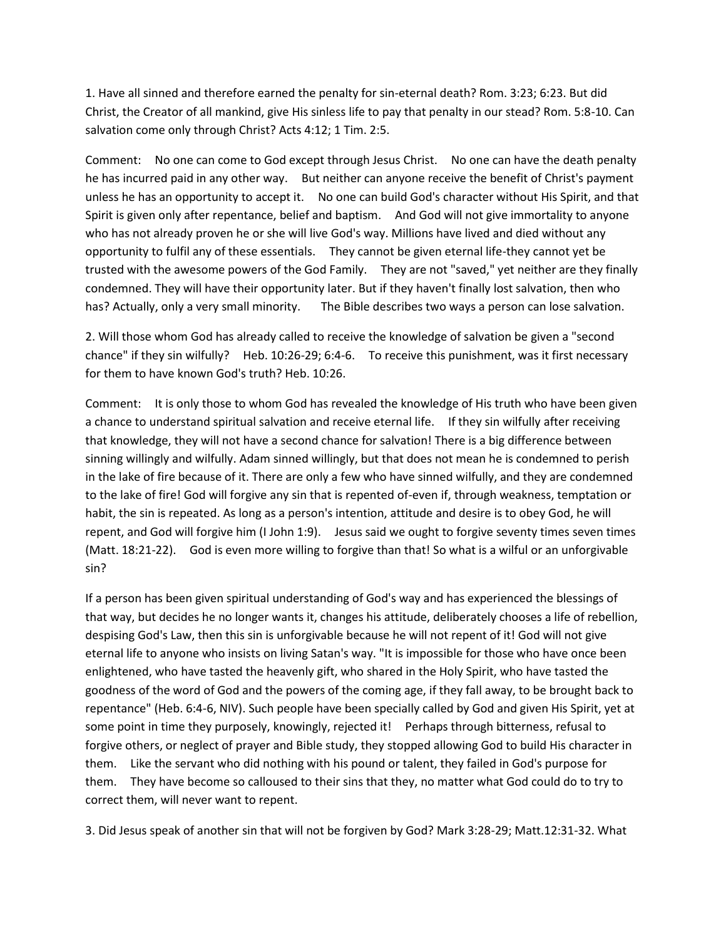1. Have all sinned and therefore earned the penalty for sin-eternal death? Rom. 3:23; 6:23. But did Christ, the Creator of all mankind, give His sinless life to pay that penalty in our stead? Rom. 5:8-10. Can salvation come only through Christ? Acts 4:12; 1 Tim. 2:5.

Comment: No one can come to God except through Jesus Christ. No one can have the death penalty he has incurred paid in any other way. But neither can anyone receive the benefit of Christ's payment unless he has an opportunity to accept it. No one can build God's character without His Spirit, and that Spirit is given only after repentance, belief and baptism. And God will not give immortality to anyone who has not already proven he or she will live God's way. Millions have lived and died without any opportunity to fulfil any of these essentials. They cannot be given eternal life-they cannot yet be trusted with the awesome powers of the God Family. They are not "saved," yet neither are they finally condemned. They will have their opportunity later. But if they haven't finally lost salvation, then who has? Actually, only a very small minority. The Bible describes two ways a person can lose salvation.

2. Will those whom God has already called to receive the knowledge of salvation be given a "second chance" if they sin wilfully? Heb. 10:26-29; 6:4-6. To receive this punishment, was it first necessary for them to have known God's truth? Heb. 10:26.

Comment: It is only those to whom God has revealed the knowledge of His truth who have been given a chance to understand spiritual salvation and receive eternal life. If they sin wilfully after receiving that knowledge, they will not have a second chance for salvation! There is a big difference between sinning willingly and wilfully. Adam sinned willingly, but that does not mean he is condemned to perish in the lake of fire because of it. There are only a few who have sinned wilfully, and they are condemned to the lake of fire! God will forgive any sin that is repented of-even if, through weakness, temptation or habit, the sin is repeated. As long as a person's intention, attitude and desire is to obey God, he will repent, and God will forgive him (I John 1:9). Jesus said we ought to forgive seventy times seven times (Matt. 18:21-22). God is even more willing to forgive than that! So what is a wilful or an unforgivable sin?

If a person has been given spiritual understanding of God's way and has experienced the blessings of that way, but decides he no longer wants it, changes his attitude, deliberately chooses a life of rebellion, despising God's Law, then this sin is unforgivable because he will not repent of it! God will not give eternal life to anyone who insists on living Satan's way. "It is impossible for those who have once been enlightened, who have tasted the heavenly gift, who shared in the Holy Spirit, who have tasted the goodness of the word of God and the powers of the coming age, if they fall away, to be brought back to repentance" (Heb. 6:4-6, NIV). Such people have been specially called by God and given His Spirit, yet at some point in time they purposely, knowingly, rejected it! Perhaps through bitterness, refusal to forgive others, or neglect of prayer and Bible study, they stopped allowing God to build His character in them. Like the servant who did nothing with his pound or talent, they failed in God's purpose for them. They have become so calloused to their sins that they, no matter what God could do to try to correct them, will never want to repent.

3. Did Jesus speak of another sin that will not be forgiven by God? Mark 3:28-29; Matt.12:31-32. What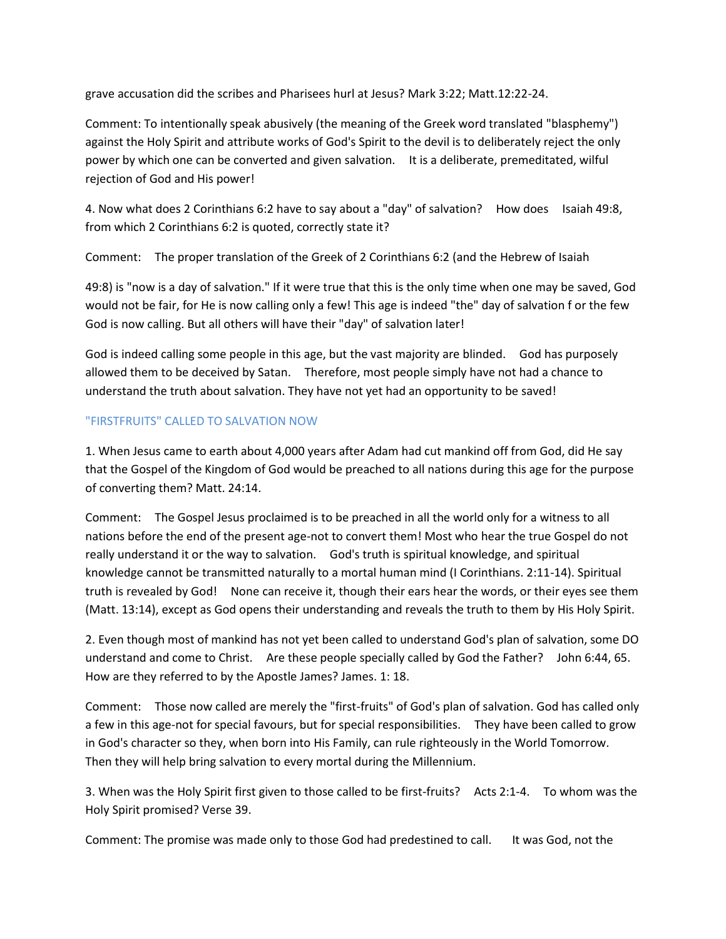grave accusation did the scribes and Pharisees hurl at Jesus? Mark 3:22; Matt.12:22-24.

Comment: To intentionally speak abusively (the meaning of the Greek word translated "blasphemy") against the Holy Spirit and attribute works of God's Spirit to the devil is to deliberately reject the only power by which one can be converted and given salvation. It is a deliberate, premeditated, wilful rejection of God and His power!

4. Now what does 2 Corinthians 6:2 have to say about a "day" of salvation? How does Isaiah 49:8, from which 2 Corinthians 6:2 is quoted, correctly state it?

Comment: The proper translation of the Greek of 2 Corinthians 6:2 (and the Hebrew of Isaiah

49:8) is "now is a day of salvation." If it were true that this is the only time when one may be saved, God would not be fair, for He is now calling only a few! This age is indeed "the" day of salvation f or the few God is now calling. But all others will have their "day" of salvation later!

God is indeed calling some people in this age, but the vast majority are blinded. God has purposely allowed them to be deceived by Satan. Therefore, most people simply have not had a chance to understand the truth about salvation. They have not yet had an opportunity to be saved!

# "FIRSTFRUITS" CALLED TO SALVATION NOW

1. When Jesus came to earth about 4,000 years after Adam had cut mankind off from God, did He say that the Gospel of the Kingdom of God would be preached to all nations during this age for the purpose of converting them? Matt. 24:14.

Comment: The Gospel Jesus proclaimed is to be preached in all the world only for a witness to all nations before the end of the present age-not to convert them! Most who hear the true Gospel do not really understand it or the way to salvation. God's truth is spiritual knowledge, and spiritual knowledge cannot be transmitted naturally to a mortal human mind (I Corinthians. 2:11-14). Spiritual truth is revealed by God! None can receive it, though their ears hear the words, or their eyes see them (Matt. 13:14), except as God opens their understanding and reveals the truth to them by His Holy Spirit.

2. Even though most of mankind has not yet been called to understand God's plan of salvation, some DO understand and come to Christ. Are these people specially called by God the Father? John 6:44, 65. How are they referred to by the Apostle James? James. 1: 18.

Comment: Those now called are merely the "first-fruits" of God's plan of salvation. God has called only a few in this age-not for special favours, but for special responsibilities. They have been called to grow in God's character so they, when born into His Family, can rule righteously in the World Tomorrow. Then they will help bring salvation to every mortal during the Millennium.

3. When was the Holy Spirit first given to those called to be first-fruits? Acts 2:1-4. To whom was the Holy Spirit promised? Verse 39.

Comment: The promise was made only to those God had predestined to call. It was God, not the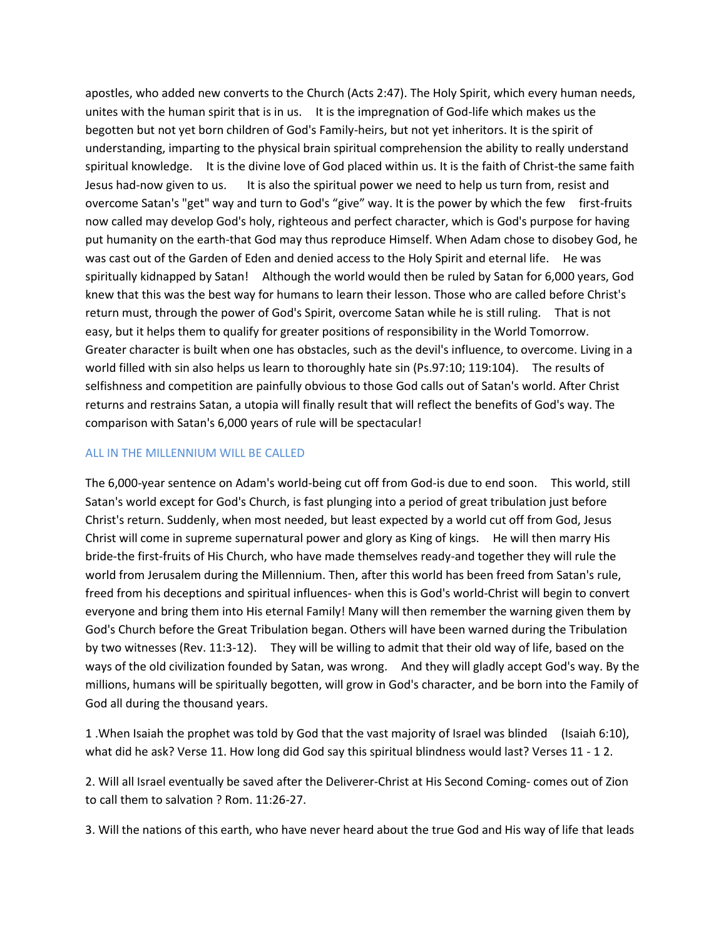apostles, who added new converts to the Church (Acts 2:47). The Holy Spirit, which every human needs, unites with the human spirit that is in us. It is the impregnation of God-life which makes us the begotten but not yet born children of God's Family-heirs, but not yet inheritors. It is the spirit of understanding, imparting to the physical brain spiritual comprehension the ability to really understand spiritual knowledge. It is the divine love of God placed within us. It is the faith of Christ-the same faith Jesus had-now given to us. It is also the spiritual power we need to help us turn from, resist and overcome Satan's "get" way and turn to God's "give" way. It is the power by which the few first-fruits now called may develop God's holy, righteous and perfect character, which is God's purpose for having put humanity on the earth-that God may thus reproduce Himself. When Adam chose to disobey God, he was cast out of the Garden of Eden and denied access to the Holy Spirit and eternal life. He was spiritually kidnapped by Satan! Although the world would then be ruled by Satan for 6,000 years, God knew that this was the best way for humans to learn their lesson. Those who are called before Christ's return must, through the power of God's Spirit, overcome Satan while he is still ruling. That is not easy, but it helps them to qualify for greater positions of responsibility in the World Tomorrow. Greater character is built when one has obstacles, such as the devil's influence, to overcome. Living in a world filled with sin also helps us learn to thoroughly hate sin (Ps.97:10; 119:104). The results of selfishness and competition are painfully obvious to those God calls out of Satan's world. After Christ returns and restrains Satan, a utopia will finally result that will reflect the benefits of God's way. The comparison with Satan's 6,000 years of rule will be spectacular!

#### ALL IN THE MILLENNIUM WILL BE CALLED

The 6,000-year sentence on Adam's world-being cut off from God-is due to end soon. This world, still Satan's world except for God's Church, is fast plunging into a period of great tribulation just before Christ's return. Suddenly, when most needed, but least expected by a world cut off from God, Jesus Christ will come in supreme supernatural power and glory as King of kings. He will then marry His bride-the first-fruits of His Church, who have made themselves ready-and together they will rule the world from Jerusalem during the Millennium. Then, after this world has been freed from Satan's rule, freed from his deceptions and spiritual influences- when this is God's world-Christ will begin to convert everyone and bring them into His eternal Family! Many will then remember the warning given them by God's Church before the Great Tribulation began. Others will have been warned during the Tribulation by two witnesses (Rev. 11:3-12). They will be willing to admit that their old way of life, based on the ways of the old civilization founded by Satan, was wrong. And they will gladly accept God's way. By the millions, humans will be spiritually begotten, will grow in God's character, and be born into the Family of God all during the thousand years.

1 .When Isaiah the prophet was told by God that the vast majority of Israel was blinded (Isaiah 6:10), what did he ask? Verse 11. How long did God say this spiritual blindness would last? Verses 11 - 1 2.

2. Will all Israel eventually be saved after the Deliverer-Christ at His Second Coming- comes out of Zion to call them to salvation ? Rom. 11:26-27.

3. Will the nations of this earth, who have never heard about the true God and His way of life that leads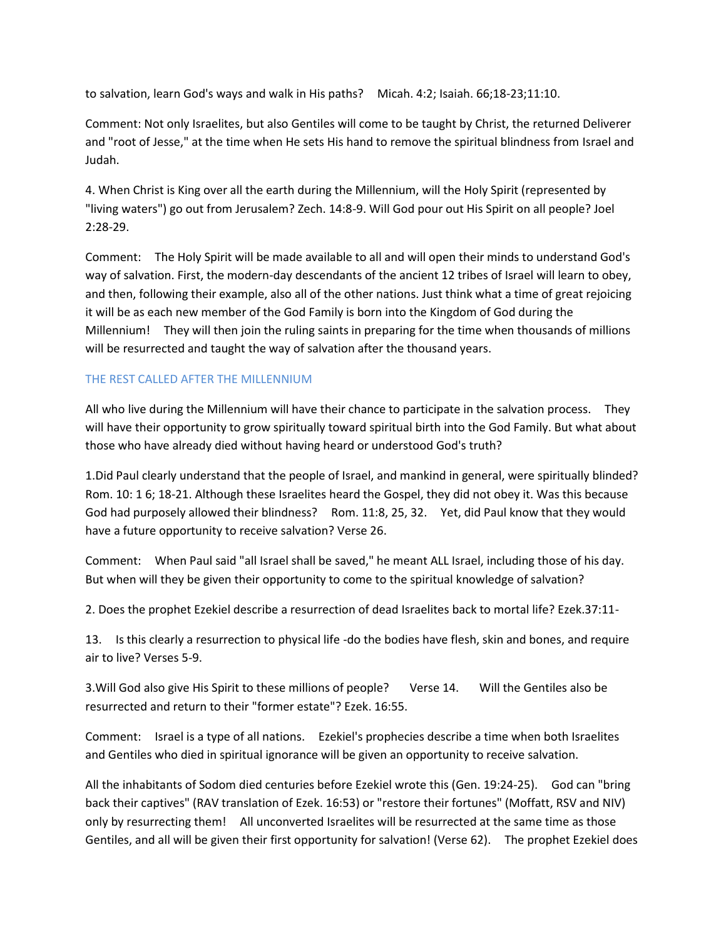to salvation, learn God's ways and walk in His paths? Micah. 4:2; Isaiah. 66;18-23;11:10.

Comment: Not only Israelites, but also Gentiles will come to be taught by Christ, the returned Deliverer and "root of Jesse," at the time when He sets His hand to remove the spiritual blindness from Israel and Judah.

4. When Christ is King over all the earth during the Millennium, will the Holy Spirit (represented by "living waters") go out from Jerusalem? Zech. 14:8-9. Will God pour out His Spirit on all people? Joel 2:28-29.

Comment: The Holy Spirit will be made available to all and will open their minds to understand God's way of salvation. First, the modern-day descendants of the ancient 12 tribes of Israel will learn to obey, and then, following their example, also all of the other nations. Just think what a time of great rejoicing it will be as each new member of the God Family is born into the Kingdom of God during the Millennium! They will then join the ruling saints in preparing for the time when thousands of millions will be resurrected and taught the way of salvation after the thousand years.

### THE REST CALLED AFTER THE MILLENNIUM

All who live during the Millennium will have their chance to participate in the salvation process. They will have their opportunity to grow spiritually toward spiritual birth into the God Family. But what about those who have already died without having heard or understood God's truth?

1.Did Paul clearly understand that the people of Israel, and mankind in general, were spiritually blinded? Rom. 10: 1 6; 18-21. Although these Israelites heard the Gospel, they did not obey it. Was this because God had purposely allowed their blindness? Rom. 11:8, 25, 32. Yet, did Paul know that they would have a future opportunity to receive salvation? Verse 26.

Comment: When Paul said "all Israel shall be saved," he meant ALL Israel, including those of his day. But when will they be given their opportunity to come to the spiritual knowledge of salvation?

2. Does the prophet Ezekiel describe a resurrection of dead Israelites back to mortal life? Ezek.37:11-

13. Is this clearly a resurrection to physical life -do the bodies have flesh, skin and bones, and require air to live? Verses 5-9.

3.Will God also give His Spirit to these millions of people? Verse 14. Will the Gentiles also be resurrected and return to their "former estate"? Ezek. 16:55.

Comment: Israel is a type of all nations. Ezekiel's prophecies describe a time when both Israelites and Gentiles who died in spiritual ignorance will be given an opportunity to receive salvation.

All the inhabitants of Sodom died centuries before Ezekiel wrote this (Gen. 19:24-25). God can "bring back their captives" (RAV translation of Ezek. 16:53) or "restore their fortunes" (Moffatt, RSV and NIV) only by resurrecting them! All unconverted Israelites will be resurrected at the same time as those Gentiles, and all will be given their first opportunity for salvation! (Verse 62). The prophet Ezekiel does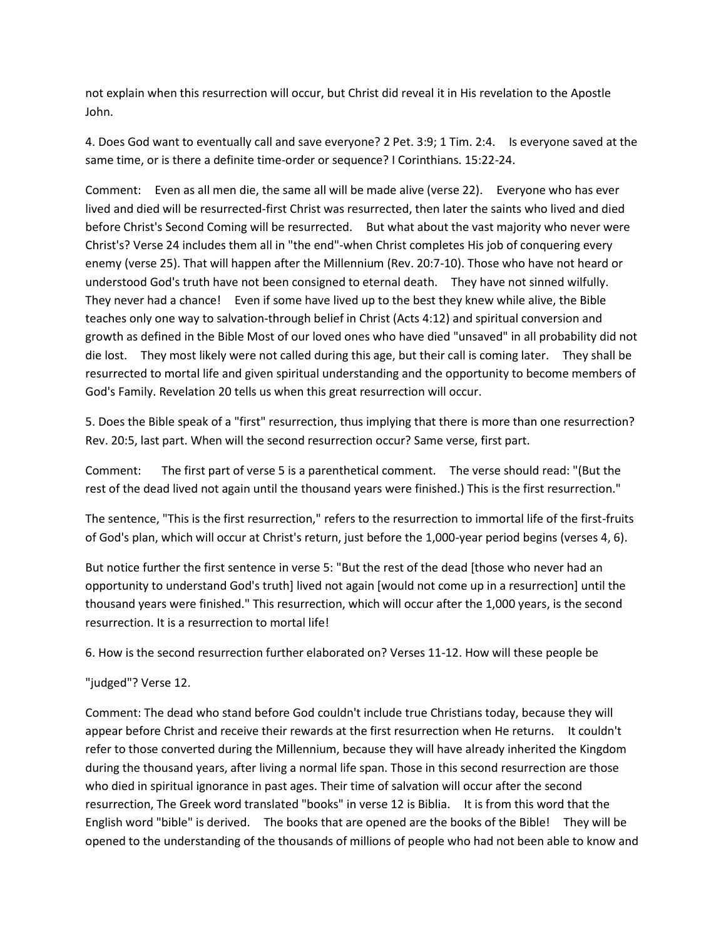not explain when this resurrection will occur, but Christ did reveal it in His revelation to the Apostle John.

4. Does God want to eventually call and save everyone? 2 Pet. 3:9; 1 Tim. 2:4. Is everyone saved at the same time, or is there a definite time-order or sequence? I Corinthians. 15:22-24.

Comment: Even as all men die, the same all will be made alive (verse 22). Everyone who has ever lived and died will be resurrected-first Christ was resurrected, then later the saints who lived and died before Christ's Second Coming will be resurrected. But what about the vast majority who never were Christ's? Verse 24 includes them all in "the end"-when Christ completes His job of conquering every enemy (verse 25). That will happen after the Millennium (Rev. 20:7-10). Those who have not heard or understood God's truth have not been consigned to eternal death. They have not sinned wilfully. They never had a chance! Even if some have lived up to the best they knew while alive, the Bible teaches only one way to salvation-through belief in Christ (Acts 4:12) and spiritual conversion and growth as defined in the Bible Most of our loved ones who have died "unsaved" in all probability did not die lost. They most likely were not called during this age, but their call is coming later. They shall be resurrected to mortal life and given spiritual understanding and the opportunity to become members of God's Family. Revelation 20 tells us when this great resurrection will occur.

5. Does the Bible speak of a "first" resurrection, thus implying that there is more than one resurrection? Rev. 20:5, last part. When will the second resurrection occur? Same verse, first part.

Comment: The first part of verse 5 is a parenthetical comment. The verse should read: "(But the rest of the dead lived not again until the thousand years were finished.) This is the first resurrection."

The sentence, "This is the first resurrection," refers to the resurrection to immortal life of the first-fruits of God's plan, which will occur at Christ's return, just before the 1,000-year period begins (verses 4, 6).

But notice further the first sentence in verse 5: "But the rest of the dead [those who never had an opportunity to understand God's truth] lived not again [would not come up in a resurrection] until the thousand years were finished." This resurrection, which will occur after the 1,000 years, is the second resurrection. It is a resurrection to mortal life!

6. How is the second resurrection further elaborated on? Verses 11-12. How will these people be

"judged"? Verse 12.

Comment: The dead who stand before God couldn't include true Christians today, because they will appear before Christ and receive their rewards at the first resurrection when He returns. It couldn't refer to those converted during the Millennium, because they will have already inherited the Kingdom during the thousand years, after living a normal life span. Those in this second resurrection are those who died in spiritual ignorance in past ages. Their time of salvation will occur after the second resurrection, The Greek word translated "books" in verse 12 is Biblia. It is from this word that the English word "bible" is derived. The books that are opened are the books of the Bible! They will be opened to the understanding of the thousands of millions of people who had not been able to know and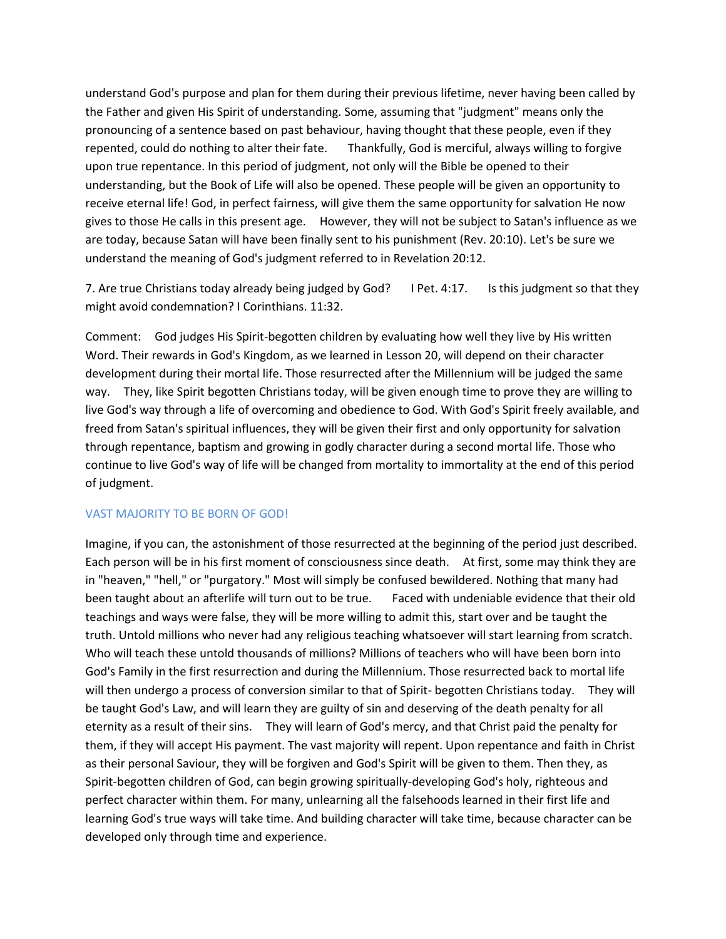understand God's purpose and plan for them during their previous lifetime, never having been called by the Father and given His Spirit of understanding. Some, assuming that "judgment" means only the pronouncing of a sentence based on past behaviour, having thought that these people, even if they repented, could do nothing to alter their fate. Thankfully, God is merciful, always willing to forgive upon true repentance. In this period of judgment, not only will the Bible be opened to their understanding, but the Book of Life will also be opened. These people will be given an opportunity to receive eternal life! God, in perfect fairness, will give them the same opportunity for salvation He now gives to those He calls in this present age. However, they will not be subject to Satan's influence as we are today, because Satan will have been finally sent to his punishment (Rev. 20:10). Let's be sure we understand the meaning of God's judgment referred to in Revelation 20:12.

7. Are true Christians today already being judged by God? I Pet. 4:17. Is this judgment so that they might avoid condemnation? I Corinthians. 11:32.

Comment: God judges His Spirit-begotten children by evaluating how well they live by His written Word. Their rewards in God's Kingdom, as we learned in Lesson 20, will depend on their character development during their mortal life. Those resurrected after the Millennium will be judged the same way. They, like Spirit begotten Christians today, will be given enough time to prove they are willing to live God's way through a life of overcoming and obedience to God. With God's Spirit freely available, and freed from Satan's spiritual influences, they will be given their first and only opportunity for salvation through repentance, baptism and growing in godly character during a second mortal life. Those who continue to live God's way of life will be changed from mortality to immortality at the end of this period of judgment.

#### VAST MAJORITY TO BE BORN OF GOD!

Imagine, if you can, the astonishment of those resurrected at the beginning of the period just described. Each person will be in his first moment of consciousness since death. At first, some may think they are in "heaven," "hell," or "purgatory." Most will simply be confused bewildered. Nothing that many had been taught about an afterlife will turn out to be true. Faced with undeniable evidence that their old teachings and ways were false, they will be more willing to admit this, start over and be taught the truth. Untold millions who never had any religious teaching whatsoever will start learning from scratch. Who will teach these untold thousands of millions? Millions of teachers who will have been born into God's Family in the first resurrection and during the Millennium. Those resurrected back to mortal life will then undergo a process of conversion similar to that of Spirit- begotten Christians today. They will be taught God's Law, and will learn they are guilty of sin and deserving of the death penalty for all eternity as a result of their sins. They will learn of God's mercy, and that Christ paid the penalty for them, if they will accept His payment. The vast majority will repent. Upon repentance and faith in Christ as their personal Saviour, they will be forgiven and God's Spirit will be given to them. Then they, as Spirit-begotten children of God, can begin growing spiritually-developing God's holy, righteous and perfect character within them. For many, unlearning all the falsehoods learned in their first life and learning God's true ways will take time. And building character will take time, because character can be developed only through time and experience.